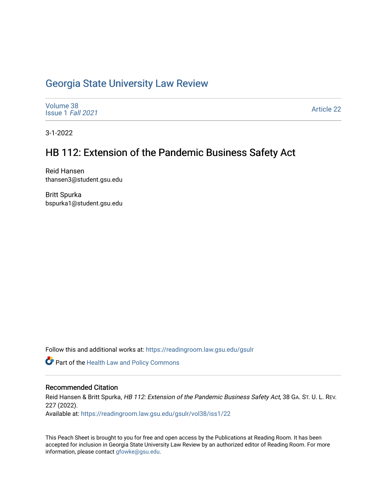# [Georgia State University Law Review](https://readingroom.law.gsu.edu/gsulr)

[Volume 38](https://readingroom.law.gsu.edu/gsulr/vol38) [Issue 1](https://readingroom.law.gsu.edu/gsulr/vol38/iss1) Fall 2021

[Article 22](https://readingroom.law.gsu.edu/gsulr/vol38/iss1/22) 

3-1-2022

# HB 112: Extension of the Pandemic Business Safety Act

Reid Hansen thansen3@student.gsu.edu

Britt Spurka bspurka1@student.gsu.edu

Follow this and additional works at: [https://readingroom.law.gsu.edu/gsulr](https://readingroom.law.gsu.edu/gsulr?utm_source=readingroom.law.gsu.edu%2Fgsulr%2Fvol38%2Fiss1%2F22&utm_medium=PDF&utm_campaign=PDFCoverPages) 

Part of the [Health Law and Policy Commons](http://network.bepress.com/hgg/discipline/901?utm_source=readingroom.law.gsu.edu%2Fgsulr%2Fvol38%2Fiss1%2F22&utm_medium=PDF&utm_campaign=PDFCoverPages) 

# Recommended Citation

Reid Hansen & Britt Spurka, HB 112: Extension of the Pandemic Business Safety Act, 38 GA. ST. U. L. REV. 227 (2022).

Available at: [https://readingroom.law.gsu.edu/gsulr/vol38/iss1/22](https://readingroom.law.gsu.edu/gsulr/vol38/iss1/22?utm_source=readingroom.law.gsu.edu%2Fgsulr%2Fvol38%2Fiss1%2F22&utm_medium=PDF&utm_campaign=PDFCoverPages) 

This Peach Sheet is brought to you for free and open access by the Publications at Reading Room. It has been accepted for inclusion in Georgia State University Law Review by an authorized editor of Reading Room. For more information, please contact [gfowke@gsu.edu.](mailto:gfowke@gsu.edu)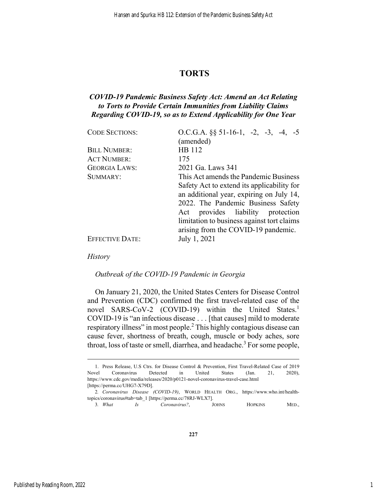# **TORTS**

# *COVID-19 Pandemic Business Safety Act: Amend an Act Relating to Torts to Provide Certain Immunities from Liability Claims Regarding COVID-19, so as to Extend Applicability for One Year*

| <b>CODE SECTIONS:</b>  | O.C.G.A. $\S\S 51-16-1$ , $-2$ , $-3$ , $-4$ , $-5$<br>(amended)                       |
|------------------------|----------------------------------------------------------------------------------------|
| <b>BILL NUMBER:</b>    | HB 112                                                                                 |
| <b>ACT NUMBER:</b>     | 175                                                                                    |
| <b>GEORGIA LAWS:</b>   | 2021 Ga. Laws 341                                                                      |
| SUMMARY:               | This Act amends the Pandemic Business                                                  |
|                        | Safety Act to extend its applicability for<br>an additional year, expiring on July 14, |
|                        | 2022. The Pandemic Business Safety                                                     |
|                        | provides liability protection<br>Act                                                   |
|                        | limitation to business against tort claims<br>arising from the COVID-19 pandemic.      |
| <b>EFFECTIVE DATE:</b> | July 1, 2021                                                                           |

*History* 

1

# *Outbreak of the COVID-19 Pandemic in Georgia*

On January 21, 2020, the United States Centers for Disease Control and Prevention (CDC) confirmed the first travel-related case of the novel SARS-CoV-2 (COVID-19) within the United States.<sup>1</sup> COVID-19 is "an infectious disease . . . [that causes] mild to moderate respiratory illness" in most people.<sup>2</sup> This highly contagious disease can cause fever, shortness of breath, cough, muscle or body aches, sore throat, loss of taste or smell, diarrhea, and headache.<sup>3</sup> For some people,

3*. What Is Coronavirus?*, JOHNS HOPKINS MED.,

 <sup>1.</sup> Press Release, U.S Ctrs. for Disease Control & Prevention, First Travel-Related Case of 2019 Novel Coronavirus Detected in United States (Jan. 21, 2020), https://www.cdc.gov/media/releases/2020/p0121-novel-coronavirus-travel-case.html [https://perma.cc/UHG7-X79D].

<sup>2</sup>*. Coronavirus Disease (COVID-19)*, WORLD HEALTH ORG., https://www.who.int/healthtopics/coronavirus#tab=tab\_1 [https://perma.cc/78RJ-WLX7].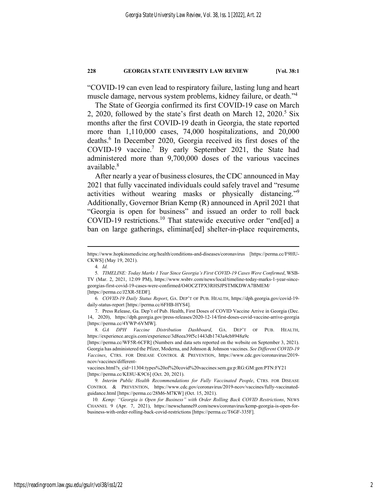"COVID-19 can even lead to respiratory failure, lasting lung and heart muscle damage, nervous system problems, kidney failure, or death."4

The State of Georgia confirmed its first COVID-19 case on March 2, 2020, followed by the state's first death on March  $12$ , 2020.<sup>5</sup> Six months after the first COVID-19 death in Georgia, the state reported more than 1,110,000 cases, 74,000 hospitalizations, and 20,000 deaths.<sup>6</sup> In December 2020, Georgia received its first doses of the COVID-19 vaccine.<sup>7</sup> By early September 2021, the State had administered more than 9,700,000 doses of the various vaccines available.<sup>8</sup>

After nearly a year of business closures, the CDC announced in May 2021 that fully vaccinated individuals could safely travel and "resume activities without wearing masks or physically distancing."9 Additionally, Governor Brian Kemp (R) announced in April 2021 that "Georgia is open for business" and issued an order to roll back COVID-19 restrictions.10 That statewide executive order "end[ed] a ban on large gatherings, eliminat[ed] shelter-in-place requirements,

https://www.hopkinsmedicine.org/health/conditions-and-diseases/coronavirus [https://perma.cc/F9HU-CKWS] (May 19, 2021).

<sup>4</sup>*. Id.*

<sup>5</sup>*. TIMELINE: Today Marks 1 Year Since Georgia's First COVID-19 Cases Were Confirmed*, WSB-TV (Mar. 2, 2021, 12:09 PM), https://www.wsbtv.com/news/local/timeline-today-marks-1-year-sincegeorgias-first-covid-19-cases-were-confirmed/O4OCZTPX3RHSJPSTMKDWA7BMEM/ [https://perma.cc/J2XR-5EDF].

<sup>6</sup>*. COVID-19 Daily Status Report*, GA. DEP'T OF PUB. HEALTH, https://dph.georgia.gov/covid-19 daily-status-report [https://perma.cc/6FHB-HYS4].

 <sup>7.</sup> Press Release, Ga. Dep't of Pub. Health, First Doses of COVID Vaccine Arrive in Georgia (Dec. 14, 2020), https://dph.georgia.gov/press-releases/2020-12-14/first-doses-covid-vaccine-arrive-georgia [https://perma.cc/4YWP-6VMW].

<sup>8</sup>*. GA DPH Vaccine Distribution Dashboard*, GA. DEP'T OF PUB. HEALTH, https://experience.arcgis.com/experience/3d8eea39f5c1443db1743a4cb8948a9c

<sup>[</sup>https://perma.cc/WF5R-6CFR] (Numbers and data sets reported on the website on September 3, 2021). Georgia has administered the Pfizer, Moderna, and Johnson & Johnson vaccines. *See Different COVID-19 Vaccines*, CTRS. FOR DISEASE CONTROL & PREVENTION, https://www.cdc.gov/coronavirus/2019 ncov/vaccines/different-

vaccines.html?s\_cid=11304:types%20of%20covid%20vaccines:sem.ga:p:RG:GM:gen:PTN:FY21 [https://perma.cc/KE8U-K9C6] (Oct. 20, 2021).

<sup>9</sup>*. Interim Public Health Recommendations for Fully Vaccinated People*, CTRS. FOR DISEASE CONTROL & PREVENTION, https://www.cdc.gov/coronavirus/2019-ncov/vaccines/fully-vaccinatedguidance.html [https://perma.cc/28M6-M7KW] (Oct. 15, 2021).

<sup>10</sup>*. Kemp: "Georgia is Open for Business" with Order Rolling Back COVID Restrictions*, NEWS CHANNEL 9 (Apr. 7, 2021), https://newschannel9.com/news/coronavirus/kemp-georgia-is-open-forbusiness-with-order-rolling-back-covid-restrictions [https://perma.cc/T6GF-335F].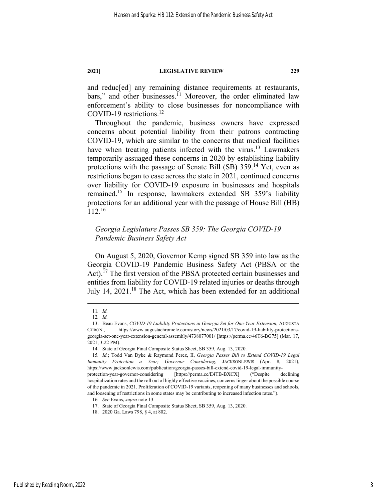and reduc[ed] any remaining distance requirements at restaurants, bars," and other businesses.<sup>11</sup> Moreover, the order eliminated law enforcement's ability to close businesses for noncompliance with COVID-19 restrictions. $^{12}$ 

Throughout the pandemic, business owners have expressed concerns about potential liability from their patrons contracting COVID-19, which are similar to the concerns that medical facilities have when treating patients infected with the virus.<sup>13</sup> Lawmakers temporarily assuaged these concerns in 2020 by establishing liability protections with the passage of Senate Bill (SB) 359.14 Yet, even as restrictions began to ease across the state in 2021, continued concerns over liability for COVID-19 exposure in businesses and hospitals remained.15 In response, lawmakers extended SB 359's liability protections for an additional year with the passage of House Bill (HB) 112.16

# *Georgia Legislature Passes SB 359: The Georgia COVID-19 Pandemic Business Safety Act*

On August 5, 2020, Governor Kemp signed SB 359 into law as the Georgia COVID-19 Pandemic Business Safety Act (PBSA or the Act).<sup> $17$ </sup> The first version of the PBSA protected certain businesses and entities from liability for COVID-19 related injuries or deaths through July 14, 2021.<sup>18</sup> The Act, which has been extended for an additional

<sup>11</sup>*. Id.* 

<sup>12</sup>*. Id.* 

 <sup>13.</sup> Beau Evans, *COVID-19 Liability Protections in Georgia Set for One-Year Extension*, AUGUSTA CHRON., https://www.augustachronicle.com/story/news/2021/03/17/covid-19-liability-protectionsgeorgia-set-one-year-extension-general-assembly/4738077001/ [https://perma.cc/46T6-BG75] (Mar. 17, 2021, 3:22 PM).

 <sup>14.</sup> State of Georgia Final Composite Status Sheet, SB 359, Aug. 13, 2020.

<sup>15</sup>*. Id.*; Todd Van Dyke & Raymond Perez, II, *Georgia Passes Bill to Extend COVID-19 Legal Immunity Protection a Year; Governor Considering*, JACKSONLEWIS (Apr. 8, 2021), https://www.jacksonlewis.com/publication/georgia-passes-bill-extend-covid-19-legal-immunity-

protection-year-governor-considering [https://perma.cc/E4TB-BXCX] ("Despite declining hospitalization rates and the roll out of highly effective vaccines, concerns linger about the possible course of the pandemic in 2021. Proliferation of COVID-19 variants, reopening of many businesses and schools, and loosening of restrictions in some states may be contributing to increased infection rates.").

<sup>16</sup>*. See* Evans, *supra* note 13.

 <sup>17.</sup> State of Georgia Final Composite Status Sheet, SB 359, Aug. 13, 2020.

 <sup>18. 2020</sup> Ga. Laws 798, § 4, at 802.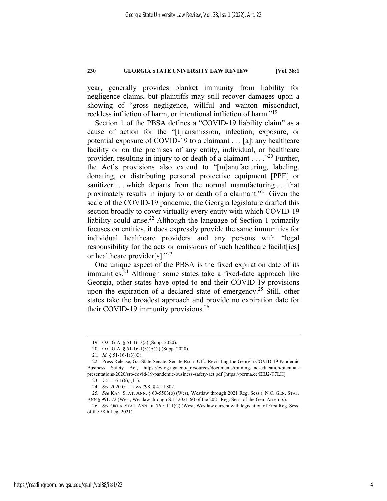year, generally provides blanket immunity from liability for negligence claims, but plaintiffs may still recover damages upon a showing of "gross negligence, willful and wanton misconduct, reckless infliction of harm, or intentional infliction of harm."19

Section 1 of the PBSA defines a "COVID-19 liability claim" as a cause of action for the "[t]ransmission, infection, exposure, or potential exposure of COVID-19 to a claimant . . . [a]t any healthcare facility or on the premises of any entity, individual, or healthcare provider, resulting in injury to or death of a claimant  $\dots$  ."<sup>20</sup> Further, the Act's provisions also extend to "[m]anufacturing, labeling, donating, or distributing personal protective equipment [PPE] or sanitizer . . . which departs from the normal manufacturing . . . that proximately results in injury to or death of a claimant."21 Given the scale of the COVID-19 pandemic, the Georgia legislature drafted this section broadly to cover virtually every entity with which COVID-19 liability could arise.<sup>22</sup> Although the language of Section 1 primarily focuses on entities, it does expressly provide the same immunities for individual healthcare providers and any persons with "legal responsibility for the acts or omissions of such healthcare facilit[ies] or healthcare provider[s]."<sup>23</sup>

One unique aspect of the PBSA is the fixed expiration date of its  $immunities.<sup>24</sup>$  Although some states take a fixed-date approach like Georgia, other states have opted to end their COVID-19 provisions upon the expiration of a declared state of emergency.<sup>25</sup> Still, other states take the broadest approach and provide no expiration date for their COVID-19 immunity provisions.<sup>26</sup>

<u>.</u>

 <sup>19.</sup> O.C.G.A. § 51-16-3(a) (Supp. 2020).

 <sup>20.</sup> O.C.G.A. § 51-16-1(3)(A)(i) (Supp. 2020).

<sup>21</sup>*. Id.* § 51-16-1(3)(C).

 <sup>22.</sup> Press Release, Ga. State Senate, Senate Rsch. Off., Revisiting the Georgia COVID-19 Pandemic Business Safety Act, https://cviog.uga.edu/\_resources/documents/training-and-education/biennialpresentations/2020/sro-covid-19-pandemic-business-safety-act.pdf [https://perma.cc/EEJ2-T7LH].

 <sup>23. § 51-16-1(6), (11).</sup> 

<sup>24</sup>*. See* 2020 Ga. Laws 798, § 4, at 802.

<sup>25</sup>*. See* KAN. STAT. ANN. § 60-5503(b) (West, Westlaw through 2021 Reg. Sess.); N.C. GEN. STAT. ANN § 99E-72 (West, Westlaw through S.L. 2021-60 of the 2021 Reg. Sess. of the Gen. Assemb.).

<sup>26</sup>*. See* OKLA. STAT. ANN. tit. 76 § 111(C) (West, Westlaw current with legislation of First Reg. Sess. of the 58th Leg. 2021).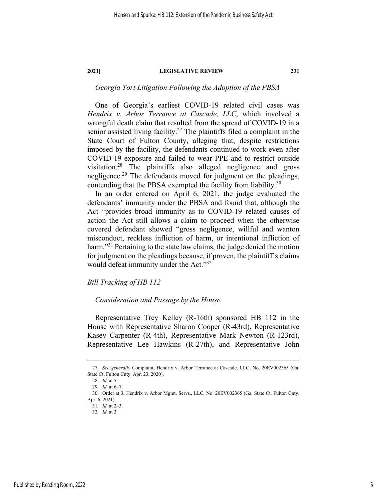# *Georgia Tort Litigation Following the Adoption of the PBSA*

One of Georgia's earliest COVID-19 related civil cases was *Hendrix v. Arbor Terrance at Cascade, LLC*, which involved a wrongful death claim that resulted from the spread of COVID-19 in a senior assisted living facility.<sup>27</sup> The plaintiffs filed a complaint in the State Court of Fulton County, alleging that, despite restrictions imposed by the facility, the defendants continued to work even after COVID-19 exposure and failed to wear PPE and to restrict outside visitation.28 The plaintiffs also alleged negligence and gross negligence.<sup>29</sup> The defendants moved for judgment on the pleadings, contending that the PBSA exempted the facility from liability.<sup>30</sup>

In an order entered on April 6, 2021, the judge evaluated the defendants' immunity under the PBSA and found that, although the Act "provides broad immunity as to COVID-19 related causes of action the Act still allows a claim to proceed when the otherwise covered defendant showed "gross negligence, willful and wanton misconduct, reckless infliction of harm, or intentional infliction of harm."<sup>31</sup> Pertaining to the state law claims, the judge denied the motion for judgment on the pleadings because, if proven, the plaintiff's claims would defeat immunity under the Act."<sup>32</sup>

*Bill Tracking of HB 112* 

## *Consideration and Passage by the House*

Representative Trey Kelley (R-16th) sponsored HB 112 in the House with Representative Sharon Cooper (R-43rd), Representative Kasey Carpenter (R-4th), Representative Mark Newton (R-123rd), Representative Lee Hawkins (R-27th), and Representative John

<sup>27</sup>*. See generally* Complaint, Hendrix v. Arbor Terrance at Cascade, LLC, No. 20EV002365 (Ga. State Ct. Fulton Cnty. Apr. 23, 2020).

<sup>28</sup>*. Id.* at 5.

<sup>29</sup>*. Id.* at 6–7.

 <sup>30.</sup> Order at 3, Hendrix v. Arbor Mgmt. Servs., LLC, No. 20EV002365 (Ga. State Ct. Fulton Cnty. Apr. 6, 2021).

<sup>31</sup>*. Id.* at 2–3.

<sup>32</sup>*. Id.* at 3.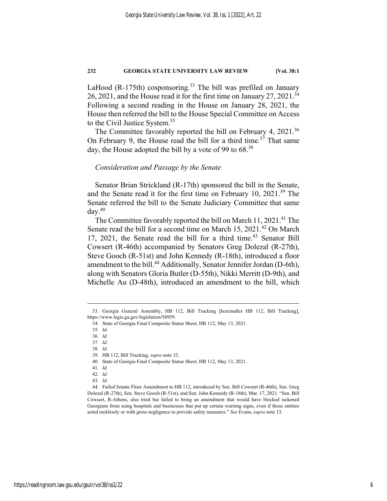LaHood (R-175th) cosponsoring.<sup>33</sup> The bill was prefiled on January 26, 2021, and the House read it for the first time on January 27, 2021.<sup>34</sup> Following a second reading in the House on January 28, 2021, the House then referred the bill to the House Special Committee on Access to the Civil Justice System.<sup>35</sup>

The Committee favorably reported the bill on February 4, 2021.<sup>36</sup> On February 9, the House read the bill for a third time.<sup>37</sup> That same day, the House adopted the bill by a vote of 99 to 68.<sup>38</sup>

## *Consideration and Passage by the Senate*

Senator Brian Strickland (R-17th) sponsored the bill in the Senate, and the Senate read it for the first time on February 10, 2021.<sup>39</sup> The Senate referred the bill to the Senate Judiciary Committee that same  $day.<sup>40</sup>$ 

The Committee favorably reported the bill on March  $11, 2021$ .<sup>41</sup> The Senate read the bill for a second time on March 15, 2021.<sup>42</sup> On March 17, 2021, the Senate read the bill for a third time.<sup>43</sup> Senator Bill Cowsert (R-46th) accompanied by Senators Greg Dolezal (R-27th), Steve Gooch (R-51st) and John Kennedy (R-18th), introduced a floor amendment to the bill.<sup>44</sup> Additionally, Senator Jennifer Jordan (D-6th), along with Senators Gloria Butler (D-55th), Nikki Merritt (D-9th), and Michelle Au (D-48th), introduced an amendment to the bill, which

1

37*. Id.* 

 <sup>33.</sup> Georgia General Assembly, HB 112, Bill Tracking [hereinafter HB 112, Bill Tracking], https://www.legis.ga.gov/legislation/58959.

 <sup>34.</sup> State of Georgia Final Composite Status Sheet, HB 112, May 13, 2021.

<sup>35</sup>*. Id.* 

<sup>36</sup>*. Id.* 

<sup>38</sup>*. Id.* 

 <sup>39.</sup> HB 112, Bill Tracking, *supra* note 33.

 <sup>40.</sup> State of Georgia Final Composite Status Sheet, HB 112, May 13, 2021.

<sup>41</sup>*. Id.* 

<sup>42</sup>*. Id.* 

<sup>43</sup>*. Id.* 

 <sup>44.</sup> Failed Senate Floor Amendment to HB 112, introduced by Sen. Bill Cowsert (R-46th), Sen. Greg Dolezal (R-27th), Sen. Steve Gooch (R-51st), and Sen. John Kennedy (R-18th), Mar. 17, 2021. "Sen. Bill Cowsert, R-Athens, also tried but failed to bring an amendment that would have blocked sickened Georgians from suing hospitals and businesses that put up certain warning signs, even if those entities acted recklessly or with gross negligence to provide safety measures." *See* Evans, *supra* note 13.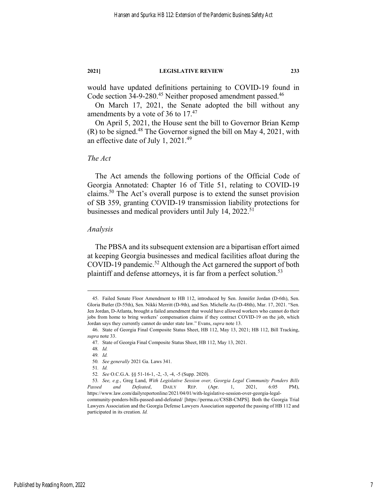would have updated definitions pertaining to COVID-19 found in Code section 34-9-280.<sup>45</sup> Neither proposed amendment passed.<sup>46</sup>

On March 17, 2021, the Senate adopted the bill without any amendments by a vote of 36 to  $17<sup>47</sup>$ 

On April 5, 2021, the House sent the bill to Governor Brian Kemp  $(R)$  to be signed.<sup>48</sup> The Governor signed the bill on May 4, 2021, with an effective date of July 1, 2021.<sup>49</sup>

## *The Act*

The Act amends the following portions of the Official Code of Georgia Annotated: Chapter 16 of Title 51, relating to COVID-19 claims.50 The Act's overall purpose is to extend the sunset provision of SB 359, granting COVID-19 transmission liability protections for businesses and medical providers until July 14,  $2022.^{51}$ 

## *Analysis*

The PBSA and its subsequent extension are a bipartisan effort aimed at keeping Georgia businesses and medical facilities afloat during the COVID-19 pandemic.<sup>52</sup> Although the Act garnered the support of both plaintiff and defense attorneys, it is far from a perfect solution.<sup>53</sup>

 <sup>45.</sup> Failed Senate Floor Amendment to HB 112, introduced by Sen. Jennifer Jordan (D-6th), Sen. Gloria Butler (D-55th), Sen. Nikki Merritt (D-9th), and Sen. Michelle Au (D-48th), Mar. 17, 2021. "Sen. Jen Jordan, D-Atlanta, brought a failed amendment that would have allowed workers who cannot do their jobs from home to bring workers' compensation claims if they contract COVID-19 on the job, which Jordan says they currently cannot do under state law." Evans, *supra* note 13.

 <sup>46.</sup> State of Georgia Final Composite Status Sheet, HB 112, May 13, 2021; HB 112, Bill Tracking, *supra* note 33.

 <sup>47.</sup> State of Georgia Final Composite Status Sheet, HB 112, May 13, 2021.

<sup>48</sup>*. Id.*

<sup>49</sup>*. Id.* 50*. See generally* 2021 Ga. Laws 341.

<sup>51</sup>*. Id.*

<sup>52</sup>*. See* O.C.G.A. §§ 51-16-1, -2, -3, -4, -5 (Supp. 2020).

<sup>53</sup>*. See, e.g.*, Greg Land, *With Legislative Session over, Georgia Legal Community Ponders Bills Passed and Defeated*, DAILY REP. (Apr. 1, 2021, 6:05 PM), https://www.law.com/dailyreportonline/2021/04/01/with-legislative-session-over-georgia-legalcommunity-ponders-bills-passed-and-defeated/ [https://perma.cc/C8SB-CMPS]. Both the Georgia Trial Lawyers Association and the Georgia Defense Lawyers Association supported the passing of HB 112 and participated in its creation. *Id.*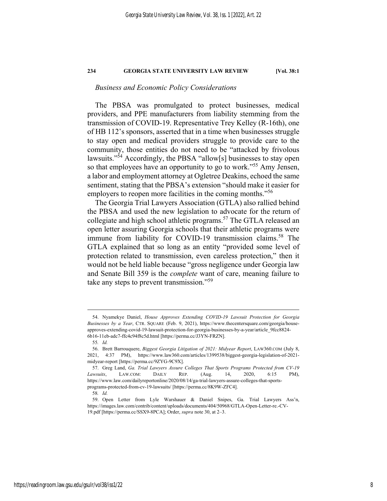## *Business and Economic Policy Considerations*

The PBSA was promulgated to protect businesses, medical providers, and PPE manufacturers from liability stemming from the transmission of COVID-19. Representative Trey Kelley (R-16th), one of HB 112's sponsors, asserted that in a time when businesses struggle to stay open and medical providers struggle to provide care to the community, those entities do not need to be "attacked by frivolous lawsuits."54 Accordingly, the PBSA "allow[s] businesses to stay open so that employees have an opportunity to go to work."<sup>55</sup> Amy Jensen, a labor and employment attorney at Ogletree Deakins, echoed the same sentiment, stating that the PBSA's extension "should make it easier for employers to reopen more facilities in the coming months."<sup>56</sup>

The Georgia Trial Lawyers Association (GTLA) also rallied behind the PBSA and used the new legislation to advocate for the return of collegiate and high school athletic programs.<sup>57</sup> The GTLA released an open letter assuring Georgia schools that their athletic programs were immune from liability for COVID-19 transmission claims.<sup>58</sup> The GTLA explained that so long as an entity "provided some level of protection related to transmission, even careless protection," then it would not be held liable because "gross negligence under Georgia law and Senate Bill 359 is the *complete* want of care, meaning failure to take any steps to prevent transmission."<sup>59</sup>

1

58*. Id.*

 <sup>54.</sup> Nyamekye Daniel, *House Approves Extending COVID-19 Lawsuit Protection for Georgia Businesses by a Year*, CTR. SQUARE (Feb. 9, 2021), https://www.thecentersquare.com/georgia/houseapproves-extending-covid-19-lawsuit-protection-for-georgia-businesses-by-a-year/article\_9fcc8824- 6b16-11eb-adc7-ffc4c94f8c5d.html [https://perma.cc/J3YN-FRZN].

<sup>55</sup>*. Id.*

 <sup>56.</sup> Brett Barrouquere, *Biggest Georgia Litigation of 2021: Midyear Report*, LAW360.COM (July 8, 2021, 4:37 PM), https://www.law360.com/articles/1399538/biggest-georgia-legislation-of-2021 midyear-report [https://perma.cc/9ZYG-9C9X].

 <sup>57.</sup> Greg Land, *Ga. Trial Lawyers Assure Colleges That Sports Programs Protected from CV-19 Lawsuits*, LAW.COM: DAILY REP. (Aug. 14, 2020, 6:15 PM), https://www.law.com/dailyreportonline/2020/08/14/ga-trial-lawyers-assure-colleges-that-sportsprograms-protected-from-cv-19-lawsuits/ [https://perma.cc/8K9W-ZFC4].

 <sup>59.</sup> Open Letter from Lyle Warshauer & Daniel Snipes, Ga. Trial Lawyers Ass'n, https://images.law.com/contrib/content/uploads/documents/404/50968/GTLA-Open-Letter-re.-CV-19.pdf [https://perma.cc/SSX9-8PCA]; Order, *supra* note 30, at 2–3.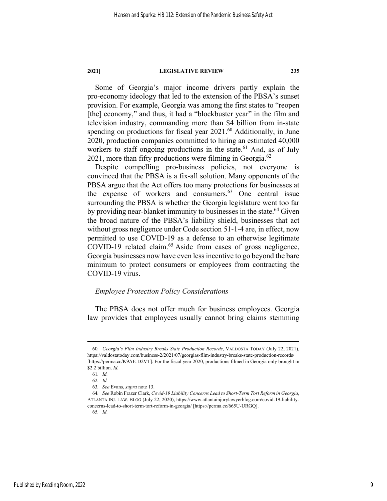Some of Georgia's major income drivers partly explain the pro-economy ideology that led to the extension of the PBSA's sunset provision. For example, Georgia was among the first states to "reopen [the] economy," and thus, it had a "blockbuster year" in the film and television industry, commanding more than \$4 billion from in-state spending on productions for fiscal year 2021.<sup>60</sup> Additionally, in June 2020, production companies committed to hiring an estimated 40,000 workers to staff ongoing productions in the state.<sup>61</sup> And, as of July  $2021$ , more than fifty productions were filming in Georgia.<sup>62</sup>

Despite compelling pro-business policies, not everyone is convinced that the PBSA is a fix-all solution. Many opponents of the PBSA argue that the Act offers too many protections for businesses at the expense of workers and consumers.<sup>63</sup> One central issue surrounding the PBSA is whether the Georgia legislature went too far by providing near-blanket immunity to businesses in the state.<sup>64</sup> Given the broad nature of the PBSA's liability shield, businesses that act without gross negligence under Code section 51-1-4 are, in effect, now permitted to use COVID-19 as a defense to an otherwise legitimate COVID-19 related claim.<sup>65</sup> Aside from cases of gross negligence, Georgia businesses now have even less incentive to go beyond the bare minimum to protect consumers or employees from contracting the COVID-19 virus.

## *Employee Protection Policy Considerations*

The PBSA does not offer much for business employees. Georgia law provides that employees usually cannot bring claims stemming

<sup>60</sup>*. Georgia's Film Industry Breaks State Production Records*, VALDOSTA TODAY (July 22, 2021), https://valdostatoday.com/business-2/2021/07/georgias-film-industry-breaks-state-production-records/ [https://perma.cc/K9AE-D2VT]. For the fiscal year 2020, productions filmed in Georgia only brought in \$2.2 billion. *Id.*

<sup>61</sup>*. Id.*

<sup>62</sup>*. Id.*

<sup>63</sup>*. See* Evans, *supra* note 13.

<sup>64</sup>*. See* Robin Frazer Clark, *Covid-19 Liability Concerns Lead to Short-Term Tort Reform in Georgia*, ATLANTA INJ. LAW. BLOG (July 22, 2020), https://www.atlantainjurylawyerblog.com/covid-19-liabilityconcerns-lead-to-short-term-tort-reform-in-georgia/ [https://perma.cc/665U-URGQ].

<sup>65</sup>*. Id.*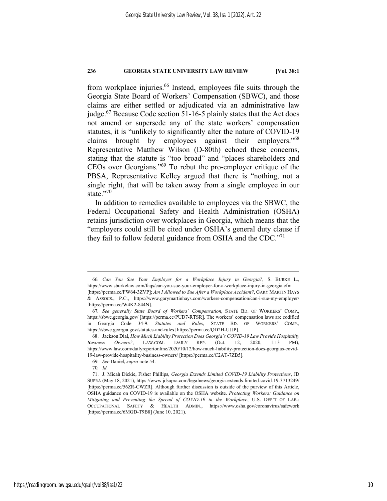from workplace injuries.<sup>66</sup> Instead, employees file suits through the Georgia State Board of Workers' Compensation (SBWC), and those claims are either settled or adjudicated via an administrative law judge. $67$  Because Code section 51-16-5 plainly states that the Act does not amend or supersede any of the state workers' compensation statutes, it is "unlikely to significantly alter the nature of COVID-19 claims brought by employees against their employers."68 Representative Matthew Wilson (D-80th) echoed these concerns, stating that the statute is "too broad" and "places shareholders and CEOs over Georgians."69 To rebut the pro-employer critique of the PBSA, Representative Kelley argued that there is "nothing, not a single right, that will be taken away from a single employee in our state."70

In addition to remedies available to employees via the SBWC, the Federal Occupational Safety and Health Administration (OSHA) retains jurisdiction over workplaces in Georgia, which means that the "employers could still be cited under OSHA's general duty clause if they fail to follow federal guidance from OSHA and the CDC."<sup>71</sup>

<sup>66</sup>*. Can You Sue Your Employer for a Workplace Injury in Georgia?*, S. BURKE L., https://www.sburkelaw.com/faqs/can-you-sue-your-employer-for-a-workplace-injury-in-georgia.cfm [https://perma.cc/FW64-3ZVP]; *Am I Allowed to Sue After a Workplace Accident?*, GARY MARTIN HAYS & ASSOCS., P.C., https://www.garymartinhays.com/workers-compensation/can-i-sue-my-employer/ [https://perma.cc/W4K2-844N].

<sup>67</sup>*. See generally State Board of Workers' Compensation*, STATE BD. OF WORKERS' COMP., https://sbwc.georgia.gov/ [https://perma.cc/PUD7-RTSR]. The workers' compensation laws are codified in Georgia Code 34-9. *Statutes and Rules*, STATE BD. OF WORKERS' COMP., https://sbwc.georgia.gov/statutes-and-rules [https://perma.cc/QD2H-UJJP].

 <sup>68.</sup> Jackson Dial, *How Much Liability Protection Does Georgia's COVID-19 Law Provide Hospitality Business Owners?*, LAW.COM: DAILY REP. (Oct. 12, 2020, 1:13 PM), https://www.law.com/dailyreportonline/2020/10/12/how-much-liability-protection-does-georgias-covid-19-law-provide-hospitality-business-owners/ [https://perma.cc/C2AT-7ZB5].

<sup>69</sup>*. See* Daniel, *supra* note 54.

<sup>70</sup>*. Id.*

 <sup>71.</sup> J. Micah Dickie, Fisher Phillips, *Georgia Extends Limited COVID-19 Liability Protections*, JD SUPRA (May 18, 2021), https://www.jdsupra.com/legalnews/georgia-extends-limited-covid-19-3713249/ [https://perma.cc/56ZR-CWZR]. Although further discussion is outside of the purview of this Article, OSHA guidance on COVID-19 is available on the OSHA website. *Protecting Workers: Guidance on Mitigating and Preventing the Spread of COVID-19 in the Workplace*, U.S. DEP'T OF LAB.: OCCUPATIONAL SAFETY & HEALTH ADMIN., https://www.osha.gov/coronavirus/safework [https://perma.cc/6MGD-T9B8] (June 10, 2021).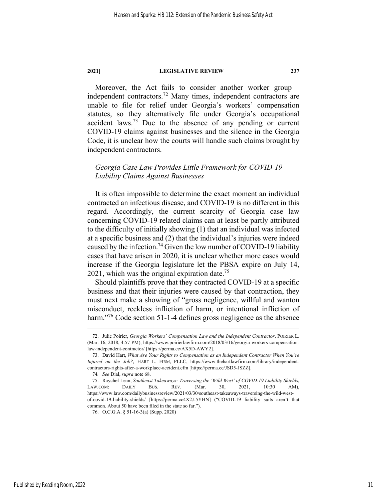Moreover, the Act fails to consider another worker group independent contractors.72 Many times, independent contractors are unable to file for relief under Georgia's workers' compensation statutes, so they alternatively file under Georgia's occupational accident laws.<sup>73</sup> Due to the absence of any pending or current COVID-19 claims against businesses and the silence in the Georgia Code, it is unclear how the courts will handle such claims brought by independent contractors.

# *Georgia Case Law Provides Little Framework for COVID-19 Liability Claims Against Businesses*

It is often impossible to determine the exact moment an individual contracted an infectious disease, and COVID-19 is no different in this regard. Accordingly, the current scarcity of Georgia case law concerning COVID-19 related claims can at least be partly attributed to the difficulty of initially showing (1) that an individual was infected at a specific business and (2) that the individual's injuries were indeed caused by the infection.<sup>74</sup> Given the low number of COVID-19 liability cases that have arisen in 2020, it is unclear whether more cases would increase if the Georgia legislature let the PBSA expire on July 14, 2021, which was the original expiration date.<sup>75</sup>

Should plaintiffs prove that they contracted COVID-19 at a specific business and that their injuries were caused by that contraction, they must next make a showing of "gross negligence, willful and wanton misconduct, reckless infliction of harm, or intentional infliction of harm."<sup>76</sup> Code section 51-1-4 defines gross negligence as the absence

 <sup>72.</sup> Julie Poirier, *Georgia Workers' Compensation Law and the Independent Contractor*, POIRIER L. (Mar. 16, 2018, 4:57 PM), https://www.poirierlawfirm.com/2018/03/16/georgia-workers-compensationlaw-independent-contractor/ [https://perma.cc/AX5D-AWY2].

 <sup>73.</sup> David Hart, *What Are Your Rights to Compensation as an Independent Contractor When You're Injured on the Job?*, HART L. FIRM, PLLC, https://www.thehartlawfirm.com/library/independentcontractors-rights-after-a-workplace-accident.cfm [https://perma.cc/JSD5-JSZZ].

<sup>74</sup>*. See* Dial, *supra* note 68.

 <sup>75.</sup> Raychel Lean, *Southeast Takeaways: Traversing the 'Wild West' of COVID-19 Liability Shields*, LAW.COM: DAILY BUS. REV. (Mar. 30, 2021, 10:30 AM), https://www.law.com/dailybusinessreview/2021/03/30/southeast-takeaways-traversing-the-wild-westof-covid-19-liability-shields/ [https://perma.cc4X2J-5YHN] ("COVID-19 liability suits aren't that common. About 50 have been filed in the state so far.").

 <sup>76.</sup> O.C.G.A. § 51-16-3(a) (Supp. 2020)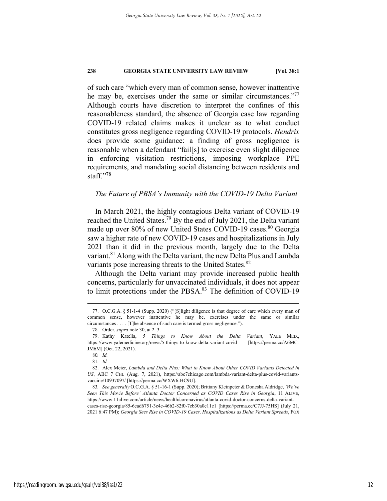of such care "which every man of common sense, however inattentive he may be, exercises under the same or similar circumstances."<sup>77</sup> Although courts have discretion to interpret the confines of this reasonableness standard, the absence of Georgia case law regarding COVID-19 related claims makes it unclear as to what conduct constitutes gross negligence regarding COVID-19 protocols. *Hendrix*  does provide some guidance: a finding of gross negligence is reasonable when a defendant "fail[s] to exercise even slight diligence in enforcing visitation restrictions, imposing workplace PPE requirements, and mandating social distancing between residents and staff $"$ :78

## *The Future of PBSA's Immunity with the COVID-19 Delta Variant*

In March 2021, the highly contagious Delta variant of COVID-19 reached the United States.79 By the end of July 2021, the Delta variant made up over 80% of new United States COVID-19 cases.<sup>80</sup> Georgia saw a higher rate of new COVID-19 cases and hospitalizations in July 2021 than it did in the previous month, largely due to the Delta variant.<sup>81</sup> Along with the Delta variant, the new Delta Plus and Lambda variants pose increasing threats to the United States.<sup>82</sup>

Although the Delta variant may provide increased public health concerns, particularly for unvaccinated individuals, it does not appear to limit protections under the PBSA.<sup>83</sup> The definition of COVID-19

1

2021 6:47 PM); *Georgia Sees Rise in COVID-19 Cases, Hospitalizations as Delta Variant Spreads*, FOX

 <sup>77.</sup> O.C.G.A. § 51-1-4 (Supp. 2020) ("[S]light diligence is that degree of care which every man of common sense, however inattentive he may be, exercises under the same or similar circumstances . . . . [T]he absence of such care is termed gross negligence.").

 <sup>78.</sup> Order, *supra* note 30, at 2–3.

 <sup>79.</sup> Kathy Katella, *5 Things to Know About the Delta Variant*, YALE MED., https://www.yalemedicine.org/news/5-things-to-know-delta-variant-covid [https://perma.cc/A6MC-JM6M] (Oct. 22, 2021).

<sup>80</sup>*. Id.*

<sup>81</sup>*. Id.*

 <sup>82.</sup> Alex Meier, *Lambda and Delta Plus: What to Know About Other COVID Variants Detected in US*, ABC 7 CHI. (Aug. 7, 2021), https://abc7chicago.com/lambda-variant-delta-plus-covid-variantsvaccine/10937097/ [https://perma.cc/WXW6-HC9U].

<sup>83</sup>*. See generally* O.C.G.A. § 51-16-1 (Supp. 2020); Brittany Kleinpeter & Donesha Aldridge, *'We've Seen This Movie Before' Atlanta Doctor Concerned as COVID Cases Rise in Georgia*, 11 ALIVE, https://www.11alive.com/article/news/health/coronavirus/atlanta-covid-doctor-concerns-delta-variantcases-rise-georgia/85-6ead6751-3c4c-46b2-82f0-7cb30a0e11e1 [https://perma.cc/C7JJ-75HS] (July 21,